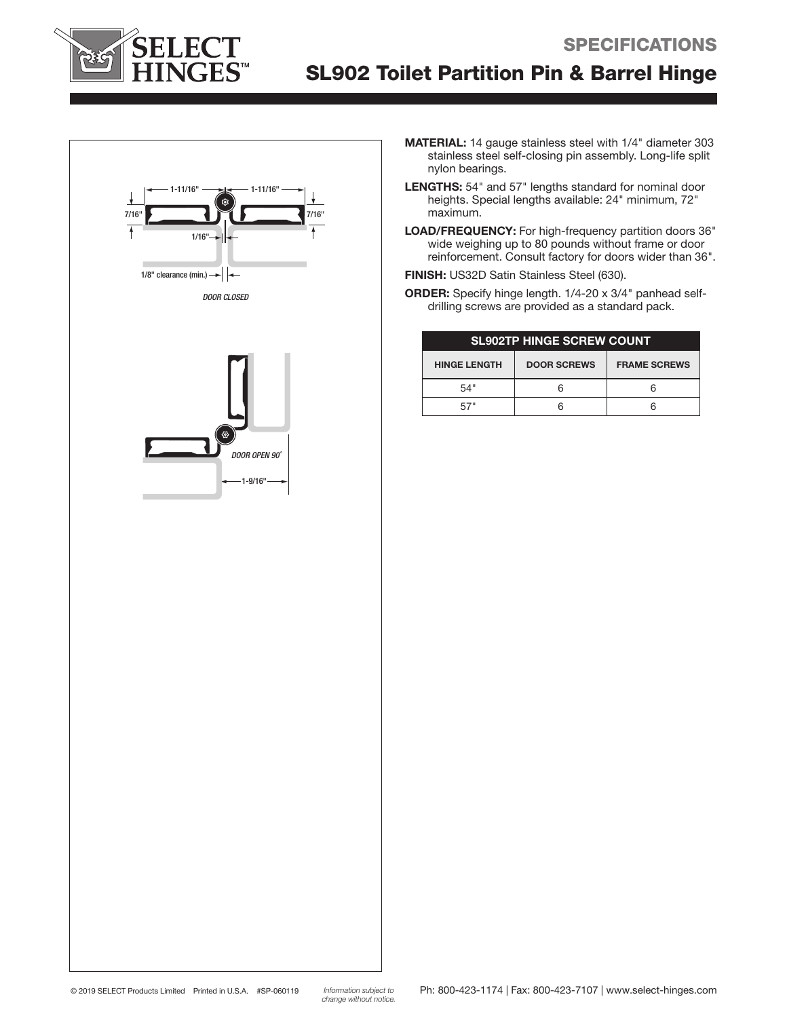

# SL902 Toilet Partition Pin & Barrel Hinge



 $-1 - 9/16$ "

*DOOR OPEN 90˚*

- MATERIAL: 14 gauge stainless steel with 1/4" diameter 303 stainless steel self-closing pin assembly. Long-life split nylon bearings.
- LENGTHS: 54" and 57" lengths standard for nominal door heights. Special lengths available: 24" minimum, 72" maximum.
- LOAD/FREQUENCY: For high-frequency partition doors 36" wide weighing up to 80 pounds without frame or door reinforcement. Consult factory for doors wider than 36".
- FINISH: US32D Satin Stainless Steel (630).
- ORDER: Specify hinge length. 1/4-20 x 3/4" panhead selfdrilling screws are provided as a standard pack.

| <b>SL902TP HINGE SCREW COUNT</b> |                    |                     |
|----------------------------------|--------------------|---------------------|
| <b>HINGE LENGTH</b>              | <b>DOOR SCREWS</b> | <b>FRAME SCREWS</b> |
| 54"                              |                    |                     |
|                                  |                    |                     |